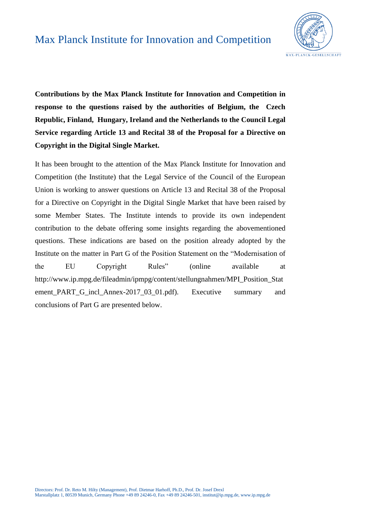

**Contributions by the Max Planck Institute for Innovation and Competition in response to the questions raised by the authorities of Belgium, the Czech Republic, Finland, Hungary, Ireland and the Netherlands to the Council Legal Service regarding Article 13 and Recital 38 of the Proposal for a Directive on Copyright in the Digital Single Market.**

It has been brought to the attention of the Max Planck Institute for Innovation and Competition (the Institute) that the Legal Service of the Council of the European Union is working to answer questions on Article 13 and Recital 38 of the Proposal for a Directive on Copyright in the Digital Single Market that have been raised by some Member States. The Institute intends to provide its own independent contribution to the debate offering some insights regarding the abovementioned questions. These indications are based on the position already adopted by the Institute on the matter in Part G of the Position Statement on the "Modernisation of the EU Copyright Rules" (online available at http://www.ip.mpg.de/fileadmin/ipmpg/content/stellungnahmen/MPI\_Position\_Stat ement\_PART\_G\_incl\_Annex-2017\_03\_01.pdf). Executive summary and conclusions of Part G are presented below.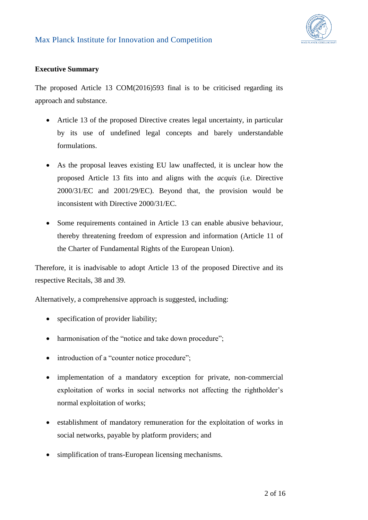

#### **Executive Summary**

The proposed Article 13 COM(2016)593 final is to be criticised regarding its approach and substance.

- Article 13 of the proposed Directive creates legal uncertainty, in particular by its use of undefined legal concepts and barely understandable formulations.
- As the proposal leaves existing EU law unaffected, it is unclear how the proposed Article 13 fits into and aligns with the *acquis* (i.e. Directive 2000/31/EC and 2001/29/EC). Beyond that, the provision would be inconsistent with Directive 2000/31/EC.
- Some requirements contained in Article 13 can enable abusive behaviour, thereby threatening freedom of expression and information (Article 11 of the Charter of Fundamental Rights of the European Union).

Therefore, it is inadvisable to adopt Article 13 of the proposed Directive and its respective Recitals, 38 and 39.

Alternatively, a comprehensive approach is suggested, including:

- specification of provider liability;
- harmonisation of the "notice and take down procedure";
- introduction of a "counter notice procedure";
- implementation of a mandatory exception for private, non-commercial exploitation of works in social networks not affecting the rightholder's normal exploitation of works;
- establishment of mandatory remuneration for the exploitation of works in social networks, payable by platform providers; and
- simplification of trans-European licensing mechanisms.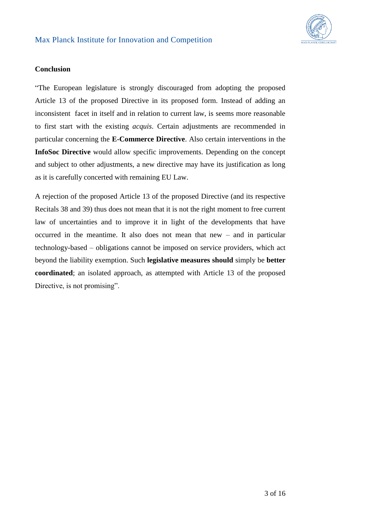

#### **Conclusion**

"The European legislature is strongly discouraged from adopting the proposed Article 13 of the proposed Directive in its proposed form. Instead of adding an inconsistent facet in itself and in relation to current law, is seems more reasonable to first start with the existing *acquis*. Certain adjustments are recommended in particular concerning the **E-Commerce Directive**. Also certain interventions in the **InfoSoc Directive** would allow specific improvements. Depending on the concept and subject to other adjustments, a new directive may have its justification as long as it is carefully concerted with remaining EU Law.

A rejection of the proposed Article 13 of the proposed Directive (and its respective Recitals 38 and 39) thus does not mean that it is not the right moment to free current law of uncertainties and to improve it in light of the developments that have occurred in the meantime. It also does not mean that new – and in particular technology-based – obligations cannot be imposed on service providers, which act beyond the liability exemption. Such **legislative measures should** simply be **better coordinated**; an isolated approach, as attempted with Article 13 of the proposed Directive, is not promising".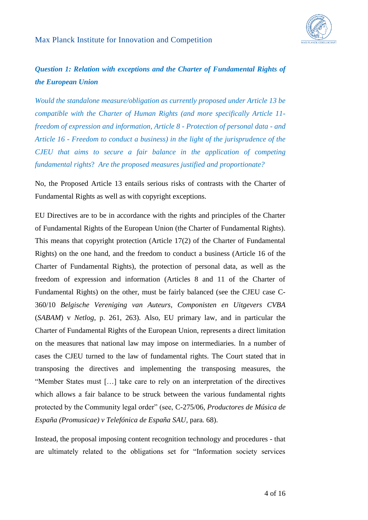## *Question 1: Relation with exceptions and the Charter of Fundamental Rights of the European Union*

*Would the standalone measure/obligation as currently proposed under Article 13 be compatible with the Charter of Human Rights (and more specifically Article 11 freedom of expression and information, Article 8 - Protection of personal data - and Article 16 - Freedom to conduct a business) in the light of the jurisprudence of the CJEU that aims to secure a fair balance in the application of competing fundamental rights*? *Are the proposed measures justified and proportionate?*

No, the Proposed Article 13 entails serious risks of contrasts with the Charter of Fundamental Rights as well as with copyright exceptions.

EU Directives are to be in accordance with the rights and principles of the Charter of Fundamental Rights of the European Union (the Charter of Fundamental Rights). This means that copyright protection (Article 17(2) of the Charter of Fundamental Rights) on the one hand, and the freedom to conduct a business (Article 16 of the Charter of Fundamental Rights), the protection of personal data, as well as the freedom of expression and information (Articles 8 and 11 of the Charter of Fundamental Rights) on the other, must be fairly balanced (see the CJEU case C-360/10 *Belgische Vereniging van Auteurs, Componisten en Uitgevers CVBA* (*SABAM*) v *Netlog*, p. 261, 263). Also, EU primary law, and in particular the Charter of Fundamental Rights of the European Union, represents a direct limitation on the measures that national law may impose on intermediaries. In a number of cases the CJEU turned to the law of fundamental rights. The Court stated that in transposing the directives and implementing the transposing measures, the "Member States must […] take care to rely on an interpretation of the directives which allows a fair balance to be struck between the various fundamental rights protected by the Community legal order" (see, C-275/06, *Productores de Música de España (Promusicae) v Telefónica de España SAU,* para*.* 68).

Instead, the proposal imposing content recognition technology and procedures - that are ultimately related to the obligations set for "Information society services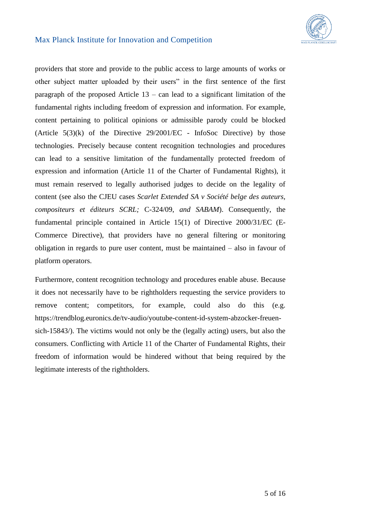

providers that store and provide to the public access to large amounts of works or other subject matter uploaded by their users" in the first sentence of the first paragraph of the proposed Article  $13 - \text{can lead to a significant limitation of the}$ fundamental rights including freedom of expression and information. For example, content pertaining to political opinions or admissible parody could be blocked (Article  $5(3)(k)$  of the Directive  $29/2001/EC$  - InfoSoc Directive) by those technologies. Precisely because content recognition technologies and procedures can lead to a sensitive limitation of the fundamentally protected freedom of expression and information (Article 11 of the Charter of Fundamental Rights), it must remain reserved to legally authorised judges to decide on the legality of content (see also the CJEU cases *Scarlet Extended SA v Société belge des auteurs, compositeurs et éditeurs SCRL;* C-324/09, *and SABAM*). Consequently, the fundamental principle contained in Article 15(1) of Directive 2000/31/EC (E-Commerce Directive), that providers have no general filtering or monitoring obligation in regards to pure user content, must be maintained – also in favour of platform operators.

Furthermore, content recognition technology and procedures enable abuse. Because it does not necessarily have to be rightholders requesting the service providers to remove content; competitors, for example, could also do this (e.g. https://trendblog.euronics.de/tv-audio/youtube-content-id-system-abzocker-freuensich-15843/). The victims would not only be the (legally acting) users, but also the consumers. Conflicting with Article 11 of the Charter of Fundamental Rights, their freedom of information would be hindered without that being required by the legitimate interests of the rightholders.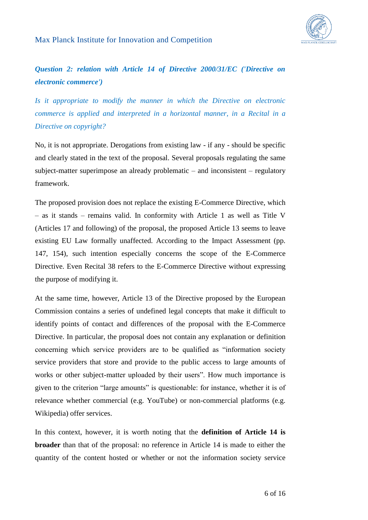

## *Question 2: relation with Article 14 of Directive 2000/31/EC ('Directive on electronic commerce')*

*Is it appropriate to modify the manner in which the Directive on electronic commerce is applied and interpreted in a horizontal manner, in a Recital in a Directive on copyright?*

No, it is not appropriate. Derogations from existing law - if any - should be specific and clearly stated in the text of the proposal. Several proposals regulating the same subject-matter superimpose an already problematic – and inconsistent – regulatory framework.

The proposed provision does not replace the existing E-Commerce Directive, which – as it stands – remains valid. In conformity with Article 1 as well as Title V (Articles 17 and following) of the proposal, the proposed Article 13 seems to leave existing EU Law formally unaffected. According to the Impact Assessment (pp. 147, 154), such intention especially concerns the scope of the E-Commerce Directive. Even Recital 38 refers to the E-Commerce Directive without expressing the purpose of modifying it.

At the same time, however, Article 13 of the Directive proposed by the European Commission contains a series of undefined legal concepts that make it difficult to identify points of contact and differences of the proposal with the E-Commerce Directive. In particular, the proposal does not contain any explanation or definition concerning which service providers are to be qualified as "information society service providers that store and provide to the public access to large amounts of works or other subject-matter uploaded by their users". How much importance is given to the criterion "large amounts" is questionable: for instance, whether it is of relevance whether commercial (e.g. YouTube) or non-commercial platforms (e.g. Wikipedia) offer services.

In this context, however, it is worth noting that the **definition of Article 14 is broader** than that of the proposal: no reference in Article 14 is made to either the quantity of the content hosted or whether or not the information society service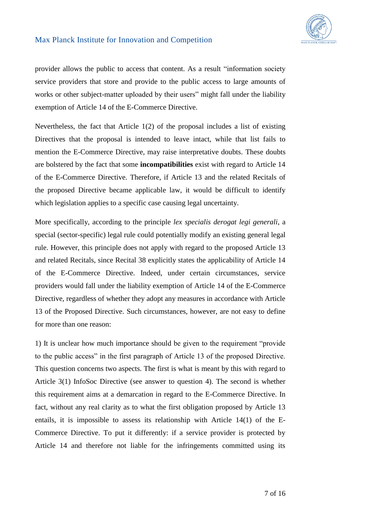

provider allows the public to access that content. As a result "information society service providers that store and provide to the public access to large amounts of works or other subject-matter uploaded by their users" might fall under the liability exemption of Article 14 of the E-Commerce Directive.

Nevertheless, the fact that Article  $1(2)$  of the proposal includes a list of existing Directives that the proposal is intended to leave intact, while that list fails to mention the E-Commerce Directive, may raise interpretative doubts. These doubts are bolstered by the fact that some **incompatibilities** exist with regard to Article 14 of the E-Commerce Directive. Therefore, if Article 13 and the related Recitals of the proposed Directive became applicable law, it would be difficult to identify which legislation applies to a specific case causing legal uncertainty.

More specifically, according to the principle *lex specialis derogat legi generali*, a special (sector-specific) legal rule could potentially modify an existing general legal rule. However, this principle does not apply with regard to the proposed Article 13 and related Recitals, since Recital 38 explicitly states the applicability of Article 14 of the E-Commerce Directive. Indeed, under certain circumstances, service providers would fall under the liability exemption of Article 14 of the E-Commerce Directive, regardless of whether they adopt any measures in accordance with Article 13 of the Proposed Directive. Such circumstances, however, are not easy to define for more than one reason:

1) It is unclear how much importance should be given to the requirement "provide to the public access" in the first paragraph of Article 13 of the proposed Directive. This question concerns two aspects. The first is what is meant by this with regard to Article 3(1) InfoSoc Directive (see answer to question 4). The second is whether this requirement aims at a demarcation in regard to the E-Commerce Directive. In fact, without any real clarity as to what the first obligation proposed by Article 13 entails, it is impossible to assess its relationship with Article 14(1) of the E-Commerce Directive. To put it differently: if a service provider is protected by Article 14 and therefore not liable for the infringements committed using its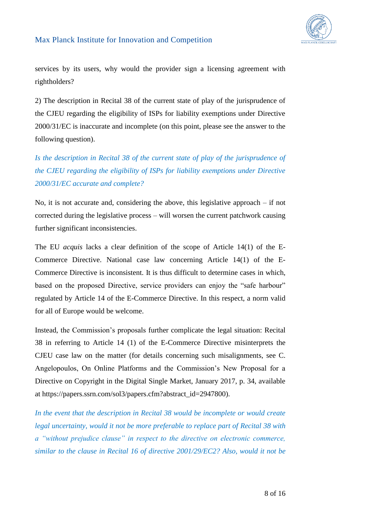

services by its users, why would the provider sign a licensing agreement with rightholders?

2) The description in Recital 38 of the current state of play of the jurisprudence of the CJEU regarding the eligibility of ISPs for liability exemptions under Directive 2000/31/EC is inaccurate and incomplete (on this point, please see the answer to the following question).

*Is the description in Recital 38 of the current state of play of the jurisprudence of the CJEU regarding the eligibility of ISPs for liability exemptions under Directive 2000/31/EC accurate and complete?* 

No, it is not accurate and, considering the above, this legislative approach – if not corrected during the legislative process – will worsen the current patchwork causing further significant inconsistencies.

The EU *acquis* lacks a clear definition of the scope of Article 14(1) of the E-Commerce Directive. National case law concerning Article 14(1) of the E-Commerce Directive is inconsistent. It is thus difficult to determine cases in which, based on the proposed Directive, service providers can enjoy the "safe harbour" regulated by Article 14 of the E-Commerce Directive. In this respect, a norm valid for all of Europe would be welcome.

Instead, the Commission's proposals further complicate the legal situation: Recital 38 in referring to Article 14 (1) of the E-Commerce Directive misinterprets the CJEU case law on the matter (for details concerning such misalignments, see C. Angelopoulos, On Online Platforms and the Commission's New Proposal for a Directive on Copyright in the Digital Single Market, January 2017, p. 34, available at https://papers.ssrn.com/sol3/papers.cfm?abstract\_id=2947800).

*In the event that the description in Recital 38 would be incomplete or would create legal uncertainty, would it not be more preferable to replace part of Recital 38 with a "without prejudice clause" in respect to the directive on electronic commerce, similar to the clause in Recital 16 of directive 2001/29/EC2? Also, would it not be*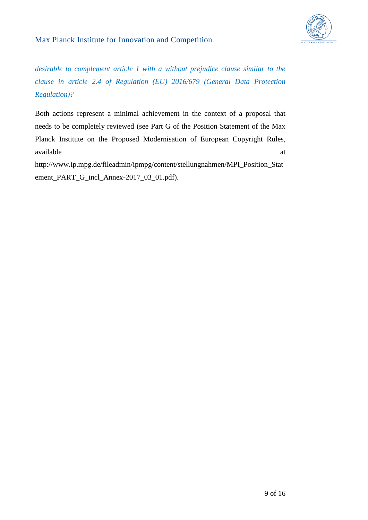



*desirable to complement article 1 with a without prejudice clause similar to the clause in article 2.4 of Regulation (EU) 2016/679 (General Data Protection Regulation)?*

Both actions represent a minimal achievement in the context of a proposal that needs to be completely reviewed (see Part G of the Position Statement of the Max Planck Institute on the Proposed Modernisation of European Copyright Rules, available at a state of  $\alpha$  at a state of  $\alpha$  at a state of  $\alpha$  at a state of  $\alpha$  at a state of  $\alpha$  at a state of  $\alpha$  at a state of  $\alpha$  at a state of  $\alpha$  at a state of  $\alpha$  at a state of  $\alpha$  at a state of  $\alpha$  at

http://www.ip.mpg.de/fileadmin/ipmpg/content/stellungnahmen/MPI\_Position\_Stat ement\_PART\_G\_incl\_Annex-2017\_03\_01.pdf).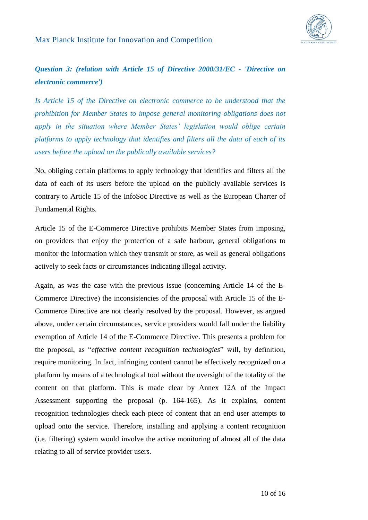## *Question 3: (relation with Article 15 of Directive 2000/31/EC - 'Directive on electronic commerce')*

*Is Article 15 of the Directive on electronic commerce to be understood that the prohibition for Member States to impose general monitoring obligations does not apply in the situation where Member States' legislation would oblige certain platforms to apply technology that identifies and filters all the data of each of its users before the upload on the publically available services?* 

No, obliging certain platforms to apply technology that identifies and filters all the data of each of its users before the upload on the publicly available services is contrary to Article 15 of the InfoSoc Directive as well as the European Charter of Fundamental Rights.

Article 15 of the E-Commerce Directive prohibits Member States from imposing, on providers that enjoy the protection of a safe harbour, general obligations to monitor the information which they transmit or store, as well as general obligations actively to seek facts or circumstances indicating illegal activity.

Again, as was the case with the previous issue (concerning Article 14 of the E-Commerce Directive) the inconsistencies of the proposal with Article 15 of the E-Commerce Directive are not clearly resolved by the proposal. However, as argued above, under certain circumstances, service providers would fall under the liability exemption of Article 14 of the E-Commerce Directive. This presents a problem for the proposal, as "*effective content recognition technologies*" will, by definition, require monitoring. In fact, infringing content cannot be effectively recognized on a platform by means of a technological tool without the oversight of the totality of the content on that platform. This is made clear by Annex 12A of the Impact Assessment supporting the proposal (p. 164-165). As it explains, content recognition technologies check each piece of content that an end user attempts to upload onto the service. Therefore, installing and applying a content recognition (i.e. filtering) system would involve the active monitoring of almost all of the data relating to all of service provider users.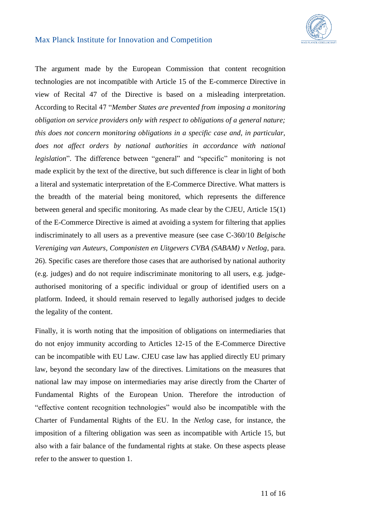

The argument made by the European Commission that content recognition technologies are not incompatible with Article 15 of the E-commerce Directive in view of Recital 47 of the Directive is based on a misleading interpretation. According to Recital 47 "*Member States are prevented from imposing a monitoring obligation on service providers only with respect to obligations of a general nature; this does not concern monitoring obligations in a specific case and, in particular,*  does not affect orders by national authorities in accordance with national *legislation*". The difference between "general" and "specific" monitoring is not made explicit by the text of the directive, but such difference is clear in light of both a literal and systematic interpretation of the E-Commerce Directive. What matters is the breadth of the material being monitored, which represents the difference between general and specific monitoring. As made clear by the CJEU, Article 15(1) of the E-Commerce Directive is aimed at avoiding a system for filtering that applies indiscriminately to all users as a preventive measure (see case C-360/10 *Belgische Vereniging van Auteurs, Componisten en Uitgevers CVBA (SABAM) v Netlog*, para. 26). Specific cases are therefore those cases that are authorised by national authority (e.g. judges) and do not require indiscriminate monitoring to all users, e.g. judgeauthorised monitoring of a specific individual or group of identified users on a platform. Indeed, it should remain reserved to legally authorised judges to decide the legality of the content.

Finally, it is worth noting that the imposition of obligations on intermediaries that do not enjoy immunity according to Articles 12-15 of the E-Commerce Directive can be incompatible with EU Law. CJEU case law has applied directly EU primary law, beyond the secondary law of the directives. Limitations on the measures that national law may impose on intermediaries may arise directly from the Charter of Fundamental Rights of the European Union. Therefore the introduction of "effective content recognition technologies" would also be incompatible with the Charter of Fundamental Rights of the EU. In the *Netlog* case, for instance, the imposition of a filtering obligation was seen as incompatible with Article 15, but also with a fair balance of the fundamental rights at stake. On these aspects please refer to the answer to question 1.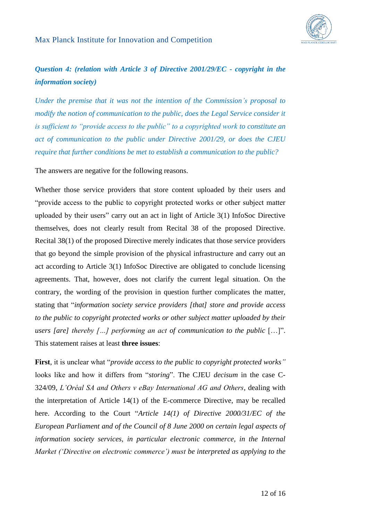

## *Question 4: (relation with Article 3 of Directive 2001/29/EC - copyright in the information society)*

*Under the premise that it was not the intention of the Commission's proposal to modify the notion of communication to the public, does the Legal Service consider it is sufficient to "provide access to the public" to a copyrighted work to constitute an act of communication to the public under Directive 2001/29, or does the CJEU require that further conditions be met to establish a communication to the public?*

The answers are negative for the following reasons.

Whether those service providers that store content uploaded by their users and "provide access to the public to copyright protected works or other subject matter uploaded by their users" carry out an act in light of Article 3(1) InfoSoc Directive themselves, does not clearly result from Recital 38 of the proposed Directive. Recital 38(1) of the proposed Directive merely indicates that those service providers that go beyond the simple provision of the physical infrastructure and carry out an act according to Article 3(1) InfoSoc Directive are obligated to conclude licensing agreements. That, however, does not clarify the current legal situation. On the contrary, the wording of the provision in question further complicates the matter, stating that "*information society service providers [that] store and provide access to the public to copyright protected works or other subject matter uploaded by their users [are] thereby […] performing an act of communication to the public* […]". This statement raises at least **three issues**:

**First**, it is unclear what "*provide access to the public to copyright protected works"* looks like and how it differs from "*storing*". The CJEU *decisum* in the case C-324/09, *L'Oréal SA and Others v eBay International AG and Others,* dealing with the interpretation of Article 14(1) of the E-commerce Directive, may be recalled here. According to the Court "*Article 14(1) of Directive 2000/31/EC of the European Parliament and of the Council of 8 June 2000 on certain legal aspects of information society services, in particular electronic commerce, in the Internal Market ('Directive on electronic commerce') must be interpreted as applying to the*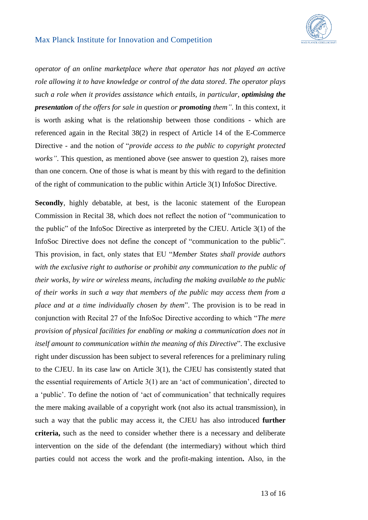

*operator of an online marketplace where that operator has not played an active role allowing it to have knowledge or control of the data stored*. *The operator plays such a role when it provides assistance which entails, in particular, optimising the presentation of the offers for sale in question or promoting them"*. In this context, it is worth asking what is the relationship between those conditions - which are referenced again in the Recital 38(2) in respect of Article 14 of the E-Commerce Directive - and the notion of "*provide access to the public to copyright protected works"*. This question, as mentioned above (see answer to question 2), raises more than one concern. One of those is what is meant by this with regard to the definition of the right of communication to the public within Article 3(1) InfoSoc Directive.

**Secondly**, highly debatable, at best, is the laconic statement of the European Commission in Recital 38, which does not reflect the notion of "communication to the public" of the InfoSoc Directive as interpreted by the CJEU. Article 3(1) of the InfoSoc Directive does not define the concept of "communication to the public". This provision, in fact, only states that EU "*Member States shall provide authors with the exclusive right to authorise or prohibit any communication to the public of their works, by wire or wireless means, including the making available to the public of their works in such a way that members of the public may access them from a place and at a time individually chosen by them*". The provision is to be read in conjunction with Recital 27 of the InfoSoc Directive according to which "*The mere provision of physical facilities for enabling or making a communication does not in itself amount to communication within the meaning of this Directive*". The exclusive right under discussion has been subject to several references for a preliminary ruling to the CJEU. In its case law on Article 3(1), the CJEU has consistently stated that the essential requirements of Article 3(1) are an 'act of communication', directed to a 'public'. To define the notion of 'act of communication' that technically requires the mere making available of a copyright work (not also its actual transmission), in such a way that the public may access it, the CJEU has also introduced **further criteria,** such as the need to consider whether there is a necessary and deliberate intervention on the side of the defendant (the intermediary) without which third parties could not access the work and the profit-making intention**.** Also, in the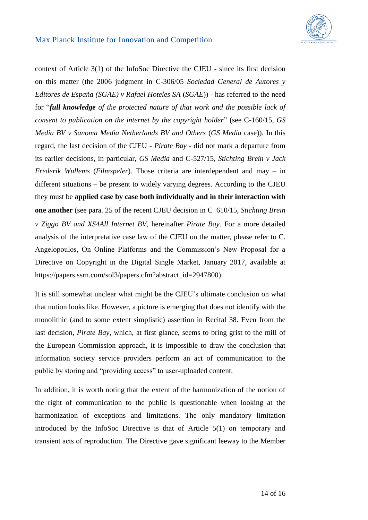

context of Article 3(1) of the InfoSoc Directive the CJEU - since its first decision on this matter (the 2006 judgment in C-306/05 *Sociedad General de Autores y Editores de España (SGAE) v Rafael Hoteles SA* (*SGAE*)) - has referred to the need for "*full knowledge of the protected nature of that work and the possible lack of consent to publication on the internet by the copyright holder*" (see C-160/15, *GS Media BV v Sanoma Media Netherlands BV and Others* (*GS Media* case)). In this regard, the last decision of the CJEU - *Pirate Bay -* did not mark a departure from its earlier decisions, in particular, *GS Media* and C-527/15, *Stichting Brein v Jack Frederik Wullems* (*Filmspeler*). Those criteria are interdependent and may – in different situations – be present to widely varying degrees. According to the CJEU they must be **applied case by case both individually and in their interaction with one another** (see para. 25 of the recent CJEU decision in C‑610/15, *Stichting Brein v Ziggo BV and XS4All Internet BV,* hereinafter *Pirate Bay*. For a more detailed analysis of the interpretative case law of the CJEU on the matter, please refer to C. Angelopoulos, On Online Platforms and the Commission's New Proposal for a Directive on Copyright in the Digital Single Market, January 2017, available at https://papers.ssrn.com/sol3/papers.cfm?abstract\_id=2947800).

It is still somewhat unclear what might be the CJEU's ultimate conclusion on what that notion looks like. However, a picture is emerging that does not identify with the monolithic (and to some extent simplistic) assertion in Recital 38. Even from the last decision, *Pirate Bay,* which, at first glance, seems to bring grist to the mill of the European Commission approach, it is impossible to draw the conclusion that information society service providers perform an act of communication to the public by storing and "providing access" to user-uploaded content.

In addition, it is worth noting that the extent of the harmonization of the notion of the right of communication to the public is questionable when looking at the harmonization of exceptions and limitations. The only mandatory limitation introduced by the InfoSoc Directive is that of Article 5(1) on temporary and transient acts of reproduction. The Directive gave significant leeway to the Member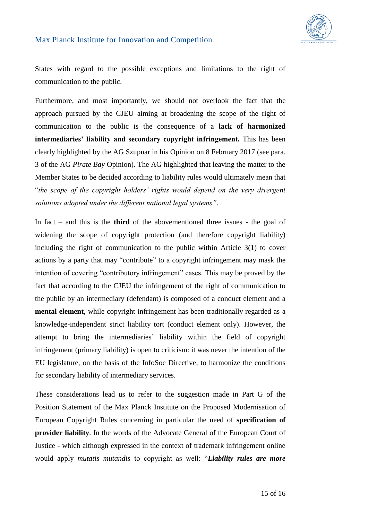

States with regard to the possible exceptions and limitations to the right of communication to the public.

Furthermore, and most importantly, we should not overlook the fact that the approach pursued by the CJEU aiming at broadening the scope of the right of communication to the public is the consequence of a **lack of harmonized intermediaries' liability and secondary copyright infringement.** This has been clearly highlighted by the AG Szupnar in his Opinion on 8 February 2017 (see para. 3 of the AG *Pirate Bay* Opinion). The AG highlighted that leaving the matter to the Member States to be decided according to liability rules would ultimately mean that "*the scope of the copyright holders' rights would depend on the very divergent solutions adopted under the different national legal systems"*.

In fact – and this is the **third** of the abovementioned three issues - the goal of widening the scope of copyright protection (and therefore copyright liability) including the right of communication to the public within Article 3(1) to cover actions by a party that may "contribute" to a copyright infringement may mask the intention of covering "contributory infringement" cases. This may be proved by the fact that according to the CJEU the infringement of the right of communication to the public by an intermediary (defendant) is composed of a conduct element and a **mental element**, while copyright infringement has been traditionally regarded as a knowledge-independent strict liability tort (conduct element only). However, the attempt to bring the intermediaries' liability within the field of copyright infringement (primary liability) is open to criticism: it was never the intention of the EU legislature, on the basis of the InfoSoc Directive, to harmonize the conditions for secondary liability of intermediary services.

These considerations lead us to refer to the suggestion made in Part G of the Position Statement of the Max Planck Institute on the Proposed Modernisation of European Copyright Rules concerning in particular the need of **specification of provider liability**. In the words of the Advocate General of the European Court of Justice - which although expressed in the context of trademark infringement online would apply *mutatis mutandis* to copyright as well: "*Liability rules are more*